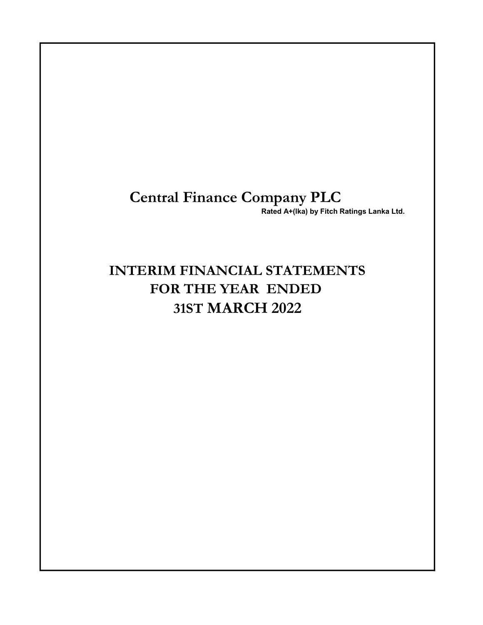# Central Finance Company PLC

Rated A+(lka) by Fitch Ratings Lanka Ltd.

# INTERIM FINANCIAL STATEMENTS FOR THE YEAR ENDED 31ST MARCH 2022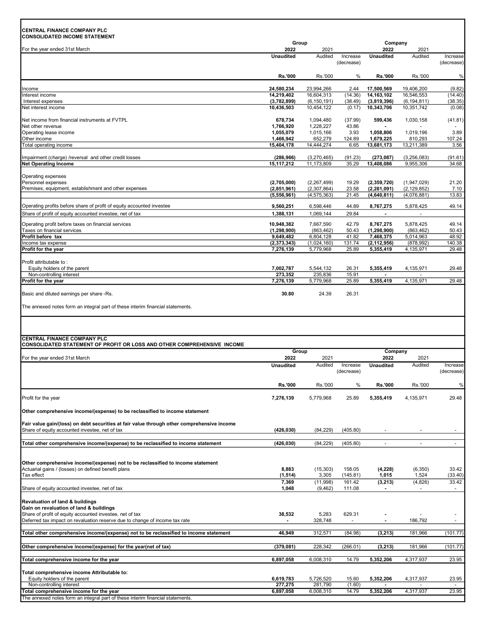# CENTRAL FINANCE COMPANY PLC

| <b>CONSOLIDATED INCOME STATEMENT</b>                                                                                                         | Group                      |                             |                        | Company                    |                             |                        |
|----------------------------------------------------------------------------------------------------------------------------------------------|----------------------------|-----------------------------|------------------------|----------------------------|-----------------------------|------------------------|
| For the year ended 31st March                                                                                                                | 2022                       | 2021                        |                        | 2022                       | 2021                        |                        |
|                                                                                                                                              | <b>Unaudited</b>           | Audited                     | Increase<br>(decrease) | <b>Unaudited</b>           | Audited                     | Increase<br>(decrease) |
|                                                                                                                                              |                            |                             |                        |                            |                             |                        |
|                                                                                                                                              | <b>Rs.'000</b>             | Rs.'000                     | %                      | <b>Rs.'000</b>             | Rs.'000                     | %                      |
| Income                                                                                                                                       | 24,580,234                 | 23,994,266                  | 2.44                   | 17,500,569                 | 19,406,200                  | (9.82)                 |
| Interest income                                                                                                                              | 14,219,402                 | 16,604,313                  | (14.36)                | 14,163,102                 | 16,546,553                  | (14.40)                |
| Interest expenses<br>Net interest income                                                                                                     | (3,782,899)<br>10,436,503  | (6, 150, 191)<br>10,454,122 | (38.49)<br>(0.17)      | (3,819,396)<br>10,343,706  | (6, 194, 811)<br>10,351,742 | (38.35)<br>(0.08)      |
| Net income from financial instruments at FVTPL                                                                                               | 678,734                    | 1.094.480                   | (37.99)                | 599,436                    | 1,030,158                   |                        |
| Net other revenue                                                                                                                            | 1,766,920                  | 1,228,227                   | 43.86                  |                            |                             | (41.81)                |
| Operating lease income                                                                                                                       | 1,055,079                  | 1,015,166                   | 3.93                   | 1,058,806                  | 1,019,196                   | 3.89                   |
| Other income<br>Total operating income                                                                                                       | 1,466,942<br>15,404,178    | 652,279<br>14,444,274       | 124.89<br>6.65         | 1,679,225<br>13,681,173    | 810,293<br>13,211,389       | 107.24<br>3.56         |
|                                                                                                                                              |                            |                             |                        |                            |                             |                        |
| Impairment (charge) /reversal and other credit losses<br><b>Net Operating Income</b>                                                         | (286, 966)<br>15,117,212   | (3,270,465)<br>11,173,809   | (91.23)<br>35.29       | (273,087)<br>13,408,086    | (3,256,083)<br>9,955,306    | (91.61)<br>34.68       |
| Operating expenses                                                                                                                           |                            |                             |                        |                            |                             |                        |
| Personnel expenses                                                                                                                           | (2,705,000)                | (2, 267, 499)               | 19.29                  | (2,359,720)                | (1,947,029)                 | 21.20                  |
| Premises, equipment, establishment and other expenses                                                                                        | (2,851,961)                | (2,307,864)                 | 23.58                  | (2, 281, 091)              | (2, 129, 852)               | 7.10                   |
|                                                                                                                                              | (5,556,961)                | (4, 575, 363)               | 21.45                  | (4,640,811)                | (4,076,881)                 | 13.83                  |
| Operating profits before share of profit of equity accounted investee                                                                        | 9,560,251                  | 6,598,446                   | 44.89                  | 8,767,275                  | 5,878,425                   | 49.14                  |
| Share of profit of equity accounted investee, net of tax                                                                                     | 1,388,131                  | 1,069,144                   | 29.84                  |                            |                             |                        |
| Operating profit before taxes on financial services                                                                                          | 10,948,382                 | 7,667,590                   | 42.79                  | 8,767,275                  | 5,878,425                   | 49.14                  |
| Taxes on financial services                                                                                                                  | (1, 298, 900)              | (863, 462)                  | 50.43                  | (1, 298, 900)              | (863, 462)                  | 50.43                  |
| Profit before tax<br>Income tax expense                                                                                                      | 9,649,482<br>(2, 373, 343) | 6,804,128<br>(1,024,160)    | 41.82<br>131.74        | 7,468,375<br>(2, 112, 956) | 5,014,963                   | 48.92                  |
| Profit for the year                                                                                                                          | 7,276,139                  | 5,779,968                   | 25.89                  | 5,355,419                  | (878, 992)<br>4,135,971     | 140.38<br>29.48        |
|                                                                                                                                              |                            |                             |                        |                            |                             |                        |
| Profit attributable to:<br>Equity holders of the parent                                                                                      | 7,002,787                  | 5,544,132                   | 26.31                  | 5,355,419                  | 4,135,971                   | 29.48                  |
| Non-controlling interest                                                                                                                     | 273,352                    | 235,836                     | 15.91                  |                            |                             |                        |
| Profit for the year                                                                                                                          | 7,276,139                  | 5,779,968                   | 25.89                  | 5,355,419                  | 4,135,971                   | 29.48                  |
| Basic and diluted earnings per share -Rs.                                                                                                    |                            |                             |                        |                            |                             |                        |
| The annexed notes form an integral part of these interim financial statements.                                                               |                            |                             |                        |                            |                             |                        |
| <b>CENTRAL FINANCE COMPANY PLC</b><br><b>CONSOLIDATED STATEMENT OF PROFIT OR LOSS AND OTHER COMPREHENSIVE INCOME</b>                         |                            |                             |                        |                            |                             |                        |
| For the year ended 31st March                                                                                                                | Group<br>2022              | 2021                        |                        | Company<br>2022            | 2021                        |                        |
|                                                                                                                                              | <b>Unaudited</b>           | Audited                     | Increase               | Unaudited                  | Audited                     | Increase               |
|                                                                                                                                              |                            |                             | (decrease)             |                            |                             | (decrease)             |
|                                                                                                                                              | <b>Rs.'000</b>             | Rs.'000                     | %                      | <b>Rs.'000</b>             | Rs.'000                     | %                      |
| Profit for the year                                                                                                                          | 7,276,139                  | 5,779,968                   | 25.89                  | 5,355,419                  | 4,135,971                   | 29.48                  |
| Other comprehensive income/(expense) to be reclassified to income statement                                                                  |                            |                             |                        |                            |                             |                        |
|                                                                                                                                              |                            |                             |                        |                            |                             |                        |
| Fair value gain/(loss) on debt securities at fair value through other comprehensive income<br>Share of equity accounted investee, net of tax | (426, 030)                 | (84, 229)                   | (405.80)               |                            |                             |                        |
|                                                                                                                                              |                            |                             |                        |                            |                             |                        |
| Total other comprehensive income/(expense) to be reclassified to income statement                                                            | (426, 030)                 | (84, 229)                   | (405.80)               | $\blacksquare$             | $\overline{\phantom{a}}$    | $\sim$                 |
|                                                                                                                                              |                            |                             |                        |                            |                             |                        |
| Other comprehensive income/(expense) not to be reclassified to income statement<br>Actuarial gains / (losses) on defined benefit plans       | 8,883                      | (15, 303)                   | 158.05                 | (4, 228)                   | (6, 350)                    | 33.42                  |
| Tax effect                                                                                                                                   | (1, 514)                   | 3,305                       | (145.81)               | 1,015                      | 1,524                       | (33.40)                |
| Share of equity accounted investee, net of tax                                                                                               | 7,369<br>1,048             | (11,998)<br>(9, 462)        | 161.42<br>111.08       | (3, 213)                   | (4,826)                     | 33.42<br>$\sim$        |
|                                                                                                                                              |                            |                             |                        |                            |                             |                        |
| Revaluation of land & buildings                                                                                                              |                            |                             |                        |                            |                             |                        |
| Gain on revaluation of land & buildings<br>Share of profit of equity accounted investee, net of tax                                          | 38,532                     | 5,283                       | 629.31                 |                            |                             |                        |
| Deferred tax impact on revaluation reserve due to change of income tax rate                                                                  |                            | 328,748                     |                        | $\blacksquare$             | 186,792                     | $\overline{a}$         |
| Total other comprehensive income/(expense) not to be reclassified to income statement                                                        | 46,949                     | 312,571                     | (84.98)                | (3, 213)                   | 181,966                     | (101.77)               |
|                                                                                                                                              |                            |                             |                        |                            |                             |                        |
| Other comprehensive income/(expense) for the year(net of tax)                                                                                | (379, 081)                 | 228,342                     | (266.01)               | (3, 213)                   | 181,966                     | (101.77)               |
| Total comprehensive income for the year                                                                                                      | 6,897,058                  | 6,008,310                   | 14.79                  | 5,352,206                  | 4,317,937                   | 23.95                  |
| Total comprehensive income Attributable to:                                                                                                  |                            |                             |                        |                            |                             |                        |
| Equity holders of the parent                                                                                                                 | 6,619,783                  | 5,726,520                   | 15.60                  | 5,352,206                  | 4,317,937                   | 23.95                  |
| Non-controlling interest<br>Total comprehensive income for the year                                                                          | 277,275<br>6,897,058       | 281,790<br>6,008,310        | (1.60)<br>14.79        | 5,352,206                  | 4,317,937                   | 23.95                  |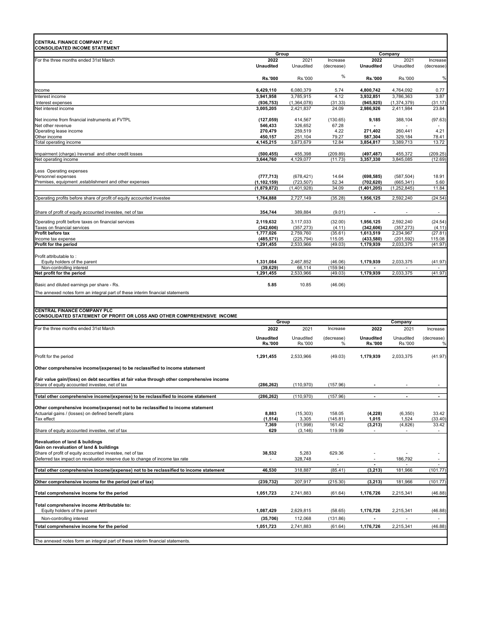| CENTRAL FINANCE COMPANY PLC<br><b>CONSOLIDATED INCOME STATEMENT</b>                                                                     |                          |                         |                        |                          |                         |                          |
|-----------------------------------------------------------------------------------------------------------------------------------------|--------------------------|-------------------------|------------------------|--------------------------|-------------------------|--------------------------|
|                                                                                                                                         | Group                    |                         |                        |                          | Company                 |                          |
| For the three months ended 31st March                                                                                                   | 2022<br><b>Unaudited</b> | 2021<br>Unaudited       | Increase<br>(decrease) | 2022<br><b>Unaudited</b> | 2021<br>Unaudited       | Increase<br>(decrease)   |
|                                                                                                                                         | <b>Rs.'000</b>           | Rs.'000                 | %                      | Rs.'000                  | Rs.'000                 | %                        |
| Income                                                                                                                                  | 6,429,110                | 6,080,379               | 5.74                   | 4,800,742                | 4,764,092               | 0.77                     |
| Interest income                                                                                                                         | 3,941,958                | 3,785,915               | 4.12                   | 3,932,851                | 3,786,363               | 3.87                     |
| Interest expenses                                                                                                                       | (936, 753)               | (1,364,078)             | (31.33)                | (945, 925)               | (1, 374, 379)           | (31.17)                  |
| Net interest income                                                                                                                     | 3,005,205                | 2,421,837               | 24.09                  | 2,986,926                | 2,411,984               | 23.84                    |
| Net income from financial instruments at FVTPL                                                                                          | (127, 059)               | 414,567                 | (130.65)               | 9,185                    | 388,104                 | (97.63)                  |
| Net other revenue                                                                                                                       | 546,433                  | 326,652                 | 67.28                  |                          |                         |                          |
| Operating lease income                                                                                                                  | 270,479                  | 259,519                 | 4.22                   | 271,402                  | 260,441                 | 4.21                     |
| Other income                                                                                                                            | 450,157                  | 251,104                 | 79.27                  | 587,304                  | 329,184                 | 78.41                    |
| Total operating income                                                                                                                  | 4,145,215                | 3,673,679               | 12.84                  | 3,854,817                | 3,389,713               | 13.72                    |
| Impairment (charge) /reversal and other credit losses                                                                                   | (500, 455)               | 455,398                 | (209.89)               | (497, 487)               | 455,372                 | (209.25)                 |
| Net operating income                                                                                                                    | 3,644,760                | 4,129,077               | (11.73)                | 3,357,330                | 3,845,085               | (12.69)                  |
| Less Operating expenses                                                                                                                 |                          |                         |                        |                          |                         |                          |
| Personnel expenses                                                                                                                      | (777, 713)               | (678, 421)              | 14.64                  | (698, 585)               | (587, 504)              | 18.91                    |
| Premises, equipment , establishment and other expenses                                                                                  | (1, 102, 159)            | (723, 507)              | 52.34                  | (702, 620)               | (665, 341)              | 5.60                     |
|                                                                                                                                         | (1,879,872)              | (1,401,928)             | 34.09                  | (1,401,205)              | (1, 252, 845)           | 11.84                    |
| Operating profits before share of profit of equity accounted investee                                                                   | 1,764,888                | 2,727,149               | (35.28)                | 1,956,125                | 2,592,240               | (24.54)                  |
|                                                                                                                                         |                          |                         |                        |                          |                         |                          |
| Share of profit of equity accounted investee, net of tax                                                                                | 354,744                  | 389,884                 | (9.01)                 |                          |                         | $\overline{\phantom{a}}$ |
| Operating profit before taxes on financial services                                                                                     | 2,119,632                | 3,117,033               | (32.00)                | 1,956,125                | 2,592,240               | (24.54)                  |
| Taxes on financial services<br>Profit before tax                                                                                        | (342, 606)<br>1,777,026  | (357, 273)<br>2,759,760 | (4.11)<br>(35.61)      | (342, 606)<br>1,613,519  | (357, 273)<br>2,234,967 | (4.11)<br>(27.81)        |
| Income tax expense                                                                                                                      | (485, 571)               | (225, 794)              | 115.05                 | (433,580)                | (201, 592)              | 115.08                   |
| Profit for the period                                                                                                                   | 1,291,455                | 2,533,966               | (49.03)                | 1,179,939                | 2,033,375               | (41.97)                  |
| Profit attributable to:                                                                                                                 |                          |                         |                        |                          |                         |                          |
| Equity holders of the parent                                                                                                            | 1,331,084                | 2,467,852               | (46.06)                | 1,179,939                | 2,033,375               | (41.97)                  |
| Non-controlling interest                                                                                                                | (39, 629)                | 66,114                  | (159.94)               |                          |                         |                          |
| Net profit for the period                                                                                                               | 1,291,455                | 2,533,966               | (49.03)                | 1,179,939                | 2,033,375               | (41.97)                  |
| Basic and diluted earnings per share - Rs.                                                                                              | 5.85                     | 10.85                   | (46.06)                |                          |                         |                          |
| The annexed notes form an integral part of these interim financial statements                                                           |                          |                         |                        |                          |                         |                          |
|                                                                                                                                         |                          |                         |                        |                          |                         |                          |
|                                                                                                                                         |                          |                         |                        |                          |                         |                          |
| CENTRAL FINANCE COMPANY PLC<br>CONSOLIDATED STATEMENT OF PROFIT OR LOSS AND OTHER COMPREHENSIVE INCOME                                  |                          |                         |                        |                          |                         |                          |
|                                                                                                                                         | Group                    |                         |                        |                          |                         |                          |
| For the three months ended 31st March                                                                                                   |                          |                         |                        |                          | Company                 |                          |
|                                                                                                                                         | 2022                     | 2021                    | Increase               | 2022                     | 2021                    | Increase                 |
|                                                                                                                                         | <b>Unaudited</b>         | Unaudited               | (decrease)             | <b>Unaudited</b>         | Unaudited               | (decrease)               |
|                                                                                                                                         | <b>Rs.'000</b>           | Rs.'000                 | %                      | Rs.'000                  | Rs.'000                 | %                        |
|                                                                                                                                         |                          |                         |                        |                          |                         |                          |
|                                                                                                                                         | 1,291,455                | 2,533,966               | (49.03)                | 1,179,939                | 2,033,375               | (41.97)                  |
| Profit for the period<br>Other comprehensive income/(expense) to be reclassified to income statement                                    |                          |                         |                        |                          |                         |                          |
|                                                                                                                                         |                          |                         |                        |                          |                         |                          |
| Fair value gain/(loss) on debt securities at fair value through other comprehensive income                                              | (286, 262)               | (110, 970)              | (157.96)               |                          |                         |                          |
| Share of equity accounted investee, net of tax                                                                                          |                          |                         |                        |                          |                         |                          |
| Total other comprehensive income/(expense) to be reclassified to income statement                                                       | (286, 262)               | (110, 970)              | (157.96)               | $\blacksquare$           | $\blacksquare$          | $\blacksquare$           |
|                                                                                                                                         |                          |                         |                        |                          |                         |                          |
| Other comprehensive income/(expense) not to be reclassified to income statement                                                         |                          |                         |                        |                          |                         |                          |
| Actuarial gains / (losses) on defined benefit plans<br>Tax effect                                                                       | 8,883<br>(1, 514)        | (15, 303)<br>3,305      | 158.05<br>(145.81)     | (4,228)<br>1,015         | (6, 350)<br>1,524       | 33.42<br>(33.40)         |
|                                                                                                                                         | 7,369                    | (11,998)                | 161.42                 | (3, 213)                 | (4,826)                 | 33.42                    |
| Share of equity accounted investee, net of tax                                                                                          | 629                      | (3, 146)                | 119.99                 |                          |                         | $\overline{\phantom{a}}$ |
|                                                                                                                                         |                          |                         |                        |                          |                         |                          |
| Revaluation of land & buildings<br>Gain on revaluation of land & buildings                                                              |                          |                         |                        |                          |                         |                          |
|                                                                                                                                         | 38,532                   | 5,283                   | 629.36                 |                          |                         |                          |
| Share of profit of equity accounted investee, net of tax<br>Deferred tax impact on revaluation reserve due to change of income tax rate |                          | 328,748                 |                        |                          | 186,792                 | $\overline{\phantom{a}}$ |
| Total other comprehensive income/(expense) not to be reclassified to income statement                                                   | 46,530                   | 318,887                 | (85.41)                | (3, 213)                 | 181,966                 | (101.77)                 |
| Other comprehensive income for the period (net of tax)                                                                                  | (239, 732)               |                         |                        |                          | 181,966                 |                          |
|                                                                                                                                         |                          | 207,917                 | (215.30)               | (3, 213)                 |                         |                          |
| Total comprehensive income for the period                                                                                               | 1,051,723                | 2,741,883               | (61.64)                | 1,176,726                | 2,215,341               | (46.88)                  |
| Total comprehensive income Attributable to:                                                                                             |                          |                         |                        |                          |                         |                          |
| Equity holders of the parent                                                                                                            | 1,087,429                | 2,629,815               | (58.65)                | 1,176,726                | 2,215,341               | (101.77)<br>(46.88)      |
| Non-controlling interest                                                                                                                | (35, 706)                | 112,068                 | (131.86)               |                          |                         |                          |
| Total comprehensive income for the period                                                                                               | 1,051,723                | 2,741,883               | (61.64)                | 1,176,726                | 2,215,341               | (46.88)                  |
| The annexed notes form an integral part of these interim financial statements.                                                          |                          |                         |                        |                          |                         |                          |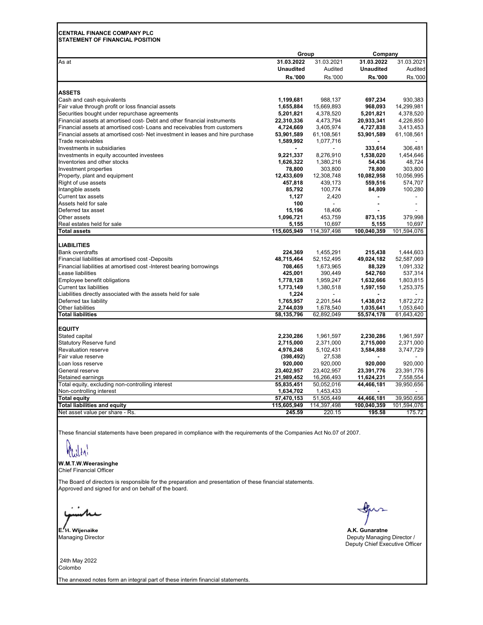## CENTRAL FINANCE COMPANY PLC

STATEMENT OF FINANCIAL POSITION As at 31.03.2022 31.03.2021 31.03.2022 31.03.2021 Unaudited Audited Unaudited Audited Rs.'000 Rs.'000 Rs.'000 Rs.'000 **ASSETS** Cash and cash equivalents 1,199,681 988,137 697,234 930,383 Fair value through profit or loss financial assets 1,655,884 15,665,884 15,669,893 968,093 14,299,981 15,609,893<br>Securities bought under repurchase agreements 1,655,000 1,655,884 5,201,821 4,378,520 5,201,821 4,378,520 Securities bought under repurchase agreements 6.201,821 5,201,821 4,378,520 5,201,821 4,378,520<br>Financial assets at amortised cost- Debt and other financial instruments 6.22,310,336 4,473,794 20,933,341 4,226,850 Financial assets at amortised cost- Debt and other financial instruments Financial assets at amortised cost- Loans and receivables from customers **4,724,669** 3,405,974 4,727,838 3,413,453<br>Financial assets at amortised cost- Net investment in leases and hire purchase 53.901.589 61.108.561 53.901 Financial assets at amortised cost- Net investment in leases and hire purchase 53,901,589 61,108,561 53,901,589 61,108,561 Trade receivables 1,077,716 - 1,077,716 - 1,077,716 - 1,077,716 - 1,077,716 Investments in subsidiaries - 333,614 306,481<br>Investments in equity accounted investees - - - - 3.221.337 3.221.337 3.276.910 1.538.020 1.454.646 Investments in equity accounted investees Inventories and other stocks 1,626,322 1,380,216 54,436 48,724 Investment properties 10.056.995<br>
Property, plant and equipment 12.433,600 303,800 303,800 303,800 303,800 303,800 303,800 303,800 303,800 303,<br>
Property, plant and equipment 12.433,609 303,800 303,800 303,800 303,800 303, Property, plant and equipment 12,433,609 12,308,748 10,082,958 10,056,995 Right of use assets 457,818 457,818 439,173 559,516 574,707 Intangible assets 85,792 100,774 84,809 100,280  $C$ urrent tax assets  $\sim$  -  $\sim$  -  $\sim$  -  $\sim$  -  $\sim$   $\sim$  -  $\sim$   $\sim$  -  $\sim$   $\sim$  -  $\sim$  -  $\sim$  -  $\sim$  -  $\sim$  -  $\sim$  -  $\sim$  -  $\sim$  -  $\sim$  -  $\sim$  -  $\sim$  -  $\sim$  -  $\sim$  -  $\sim$  -  $\sim$  -  $\sim$  -  $\sim$  -  $\sim$  -  $\sim$  -  $\sim$  -  $\sim$ Assets held for sale 100 - - - Deferred tax asset 15,196 18,406 Other assets 1,096,721 453,759 873,135 379,998 Real estates held for sale **5,155** 10,697 5,155 10,697 5,155 5,155 5,155 5,1697 5,155 5,1697 6,97<br>
Total assets **5,155** 5,155 5,155 5,155 5,155 5,100,040,359 101,594,076 5,155 5,155 5,1698,076 5,155 5,155 5,155 5,155 5,155 Total assets 115,605,949 114,397,498 100,040,359 101,594,076 LIABILITIES Bank overdrafts 224,369 1,455,291 215,438 1,444,603 Financial liabilities at amortised cost -Deposits 48,715,464 48,715,464 52,152,495 49,024,182 52,587,069<br>1,091,332 48,329 52,587,069 708,465 708,465 52,153,965 88,329 1,091,332 Financial liabilities at amortised cost -Interest bearing borrowings 708,465 1,673,965 88,329 1,091,332 Lease liabilities 425,001 390,449 542,760 537,314 Employee benefit obligations 1,778,128 1,959,247 1,632,666 1,803,815 Current tax liabilities 1,597,150 the assets held for sale that the control of the control of the control of t<br>1,773,149 1,380,518 1,597,150 1,253,375 1,224 1,224 Liabilities directly associated with the assets held for sale 1,224 - - - Deferred tax liability 1,765,957 2,201,544 1,438,012 1,872,272 Other liabilities 2,744,039 1,678,540 1,035,641 1,053,640<br>
Total liabilities 3,135,796 62,892,049 55,574,178 61,643,420 Total liabilities 58,135,796 62,892,049 55,574,178 61,643,420 EQUITY Stated capital 2,230,286 1,961,597 2,230,286 2,230,286 2,230,286 2,230,286 2,230,286 5,977 2,230,286 5,977 2,230,286 2,961,597 Statutory Reserve fund 2,715,000 2,715,000 2,371,000 2,715,000 2,371,000 2,371,000 Revaluation reserve 4,976,248 5,102,431 3,584,888 3,747,729 Fair value reserve (398.492) Loan loss reserve 920,000 920,000 920,000 920,000 General reserve 23,391,776 23,391,776 23,391,776 23,391,776 23,391,776 23,391,776 23,391,776 23,391,776 23,391,776 23,391,776 23,391,776 23,391,776 23,391,776 23,391,776 23,391,776 23,391,776 23,391,776 23,391,776 23,391,7 Retained earnings 21,**989,452** 16,266,493 **11,624,231** 7,558,554 Total equity, excluding non-controlling interest 65,835,451 50,052,016 44,466,181 39,950,656 Non-controlling interest 1,634,702 1,453,433 - - Total equity 57,470,153 51,505,449 44,466,181 39,950,656 Total liabilities and equity 115,605,949 114,397,498 100,040,359 101,594,076 Net asset value per share - Rs. 245.59 220.15 195.58 175.72 Group Company

These financial statements have been prepared in compliance with the requirements of the Companies Act No.07 of 2007.

### W.M.T.W.Weerasinghe

Chief Financial Officer

The Board of directors is responsible for the preparation and presentation of these financial statements. Approved and signed for and on behalf of the board.

Managing Director

 24th May 2022 Colombo

The annexed notes form an integral part of these interim financial statements.

'H. Wijenaike A.K. Gunaratne A.K. Gunaratne A.K. Gunaratne A.K. Gunaratne A.K. Gunaratne A.K. Gunaratne A.K. Gunaratne Deputy Managing Director / Deputy Chief Executive Officer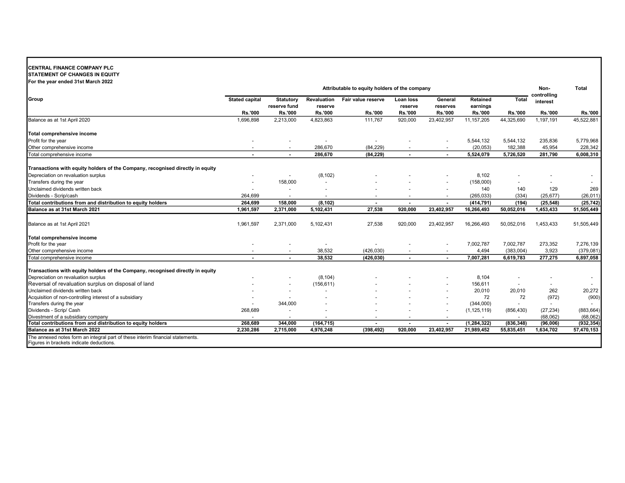## CENTRAL FINANCE COMPANY PLC

STATEMENT OF CHANGES IN EQUITY For the year ended 31st March 2022

|                                                                                                                            | Attributable to equity holders of the company |                                  |                          |                          |                          |                          | Non-                 | <b>Total</b>   |                         |                |
|----------------------------------------------------------------------------------------------------------------------------|-----------------------------------------------|----------------------------------|--------------------------|--------------------------|--------------------------|--------------------------|----------------------|----------------|-------------------------|----------------|
| Group                                                                                                                      | <b>Stated capital</b>                         | <b>Statutory</b><br>reserve fund | Revaluation<br>reserve   | Fair value reserve       | Loan Ioss<br>reserve     | General<br>reserves      | Retained<br>earnings | <b>Total</b>   | controlling<br>interest |                |
|                                                                                                                            | <b>Rs.'000</b>                                | <b>Rs.'000</b>                   | <b>Rs.'000</b>           | <b>Rs.'000</b>           | <b>Rs.'000</b>           | <b>Rs.'000</b>           | Rs.'000              | <b>Rs.'000</b> | <b>Rs.'000</b>          | <b>Rs.'000</b> |
| Balance as at 1st April 2020                                                                                               | 1,696,898                                     | 2,213,000                        | 4,823,863                | 111,767                  | 920,000                  | 23,402,957               | 11, 157, 205         | 44,325,690     | 1,197,191               | 45,522,881     |
| Total comprehensive income                                                                                                 |                                               |                                  |                          |                          |                          |                          |                      |                |                         |                |
| Profit for the year                                                                                                        |                                               |                                  |                          |                          |                          |                          | 5,544,132            | 5,544,132      | 235,836                 | 5,779,968      |
| Other comprehensive income                                                                                                 |                                               |                                  | 286,670                  | (84, 229)                |                          |                          | (20, 053)            | 182,388        | 45,954                  | 228,342        |
| Total comprehensive income                                                                                                 | $\overline{\phantom{a}}$                      | $\blacksquare$                   | 286,670                  | (84, 229)                | $\blacksquare$           | $\blacksquare$           | 5,524,079            | 5,726,520      | 281,790                 | 6,008,310      |
| Transactions with equity holders of the Company, recognised directly in equity                                             |                                               |                                  |                          |                          |                          |                          |                      |                |                         |                |
| Depreciation on revaluation surplus                                                                                        |                                               |                                  | (8, 102)                 |                          |                          |                          | 8,102                |                |                         |                |
| Transfers during the year                                                                                                  |                                               | 158,000                          |                          |                          |                          |                          | (158,000)            | $\sim$         |                         |                |
| Unclaimed dividends written back                                                                                           |                                               |                                  |                          |                          |                          |                          | 140                  | 140            | 129                     | 269            |
| Dividends - Scrip/cash                                                                                                     | 264,699                                       | $\overline{\phantom{a}}$         | $\overline{\phantom{0}}$ | $\overline{\phantom{0}}$ | $\overline{\phantom{0}}$ |                          | (265, 033)           | (334)          | (25, 677)               | (26, 011)      |
| Total contributions from and distribution to equity holders                                                                | 264.699                                       | 158.000                          | (8, 102)                 |                          | $\blacksquare$           |                          | (414, 791)           | (194)          | (25, 548)               | (25, 742)      |
| Balance as at 31st March 2021                                                                                              | 1,961,597                                     | 2,371,000                        | 5,102,431                | 27,538                   | 920.000                  | 23,402,957               | 16,266,493           | 50,052,016     | 1,453,433               | 51,505,449     |
| Balance as at 1st April 2021                                                                                               | 1,961,597                                     | 2,371,000                        | 5,102,431                | 27,538                   | 920,000                  | 23,402,957               | 16,266,493           | 50,052,016     | 1,453,433               | 51,505,449     |
| Total comprehensive income                                                                                                 |                                               |                                  |                          |                          |                          |                          |                      |                |                         |                |
| Profit for the year                                                                                                        |                                               |                                  |                          |                          |                          |                          | 7,002,787            | 7,002,787      | 273,352                 | 7,276,139      |
| Other comprehensive income                                                                                                 |                                               |                                  | 38,532                   | (426, 030)               |                          |                          | 4,494                | (383,004)      | 3,923                   | (379,081)      |
| Total comprehensive income                                                                                                 | $\overline{\phantom{a}}$                      | $\overline{\phantom{a}}$         | 38.532                   | (426, 030)               | $\blacksquare$           | $\overline{\phantom{a}}$ | 7,007,281            | 6.619.783      | 277,275                 | 6.897.058      |
| Transactions with equity holders of the Company, recognised directly in equity                                             |                                               |                                  |                          |                          |                          |                          |                      |                |                         |                |
| Depreciation on revaluation surplus                                                                                        |                                               |                                  | (8, 104)                 |                          |                          |                          | 8,104                |                |                         |                |
| Reversal of revaluation surplus on disposal of land                                                                        |                                               |                                  | (156, 611)               |                          |                          |                          | 156,611              |                |                         |                |
| Unclaimed dividends written back                                                                                           |                                               |                                  |                          |                          |                          |                          | 20,010               | 20,010         | 262                     | 20,272         |
| Acquisition of non-controlling interest of a subsidiary                                                                    |                                               |                                  |                          |                          |                          |                          | 72                   | 72             | (972)                   | (900)          |
| Transfers during the year                                                                                                  |                                               | 344,000                          |                          |                          |                          |                          | (344,000)            | $\sim$         | $\blacksquare$          |                |
| Dividends - Scrip/ Cash                                                                                                    | 268,689                                       |                                  |                          |                          |                          |                          | (1, 125, 119)        | (856, 430)     | (27, 234)               | (883, 664)     |
| Divestment of a subsidiary company                                                                                         |                                               | $\overline{\phantom{a}}$         | $\overline{a}$           |                          | $\overline{\phantom{a}}$ |                          | $\sim$               | $\sim$         | (68,062)                | (68,062)       |
| Total contributions from and distribution to equity holders                                                                | 268.689                                       | 344,000                          | (164, 715)               |                          | $\blacksquare$           |                          | (1, 284, 322)        | (836, 348)     | (96,006)                | (932, 354)     |
| Balance as at 31st March 2022                                                                                              | 2,230,286                                     | 2,715,000                        | 4,976,248                | (398, 492)               | 920.000                  | 23,402,957               | 21,989,452           | 55,835,451     | 1,634,702               | 57,470,153     |
| The annexed notes form an integral part of these interim financial statements.<br>Figures in brackets indicate deductions. |                                               |                                  |                          |                          |                          |                          |                      |                |                         |                |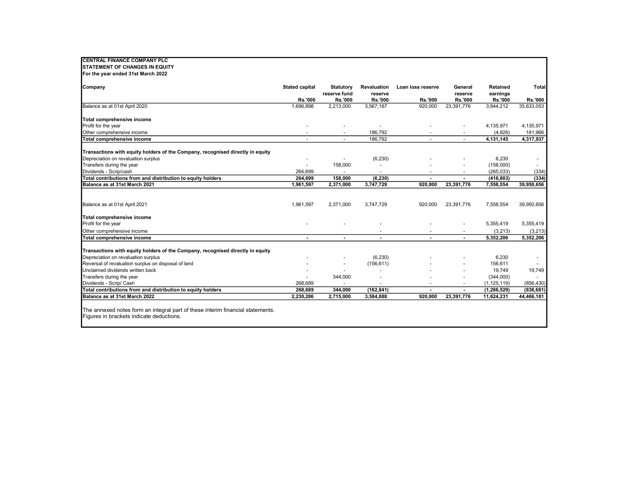| <b>ICENTRAL FINANCE COMPANY PLC</b>                                                   |                          |                          |                    |                          |                                  |                          |                          |
|---------------------------------------------------------------------------------------|--------------------------|--------------------------|--------------------|--------------------------|----------------------------------|--------------------------|--------------------------|
| <b>STATEMENT OF CHANGES IN EQUITY</b>                                                 |                          |                          |                    |                          |                                  |                          |                          |
| For the year ended 31st March 2022                                                    |                          |                          |                    |                          |                                  |                          |                          |
|                                                                                       |                          |                          |                    |                          |                                  |                          |                          |
| Company                                                                               | <b>Stated capital</b>    | Statutory                | <b>Revaluation</b> | Loan loss reserve        | General                          | Retained                 | Total                    |
|                                                                                       | <b>Rs.'000</b>           | reserve fund<br>Rs.'000  | reserve<br>Rs.'000 | <b>Rs.'000</b>           | reserve<br>Rs.'000               | earnings<br>Rs.'000      | <b>Rs.'000</b>           |
| Balance as at 01st April 2020                                                         | 1,696,898                | 2,213,000                | 3,567,167          | 920,000                  | 23,391,776                       | 3,844,212                | 35,633,053               |
|                                                                                       |                          |                          |                    |                          |                                  |                          |                          |
| Total comprehensive income                                                            |                          |                          |                    |                          |                                  |                          |                          |
| Profit for the year                                                                   |                          |                          | $\sim$             |                          |                                  | 4,135,971                | 4,135,971                |
| Other comprehensive income                                                            | $\overline{\phantom{a}}$ | $\overline{\phantom{a}}$ | 186,792            |                          | ٠                                | (4,826)                  | 181,966                  |
| Total comprehensive income                                                            | $\overline{\phantom{a}}$ |                          | 186,792            |                          | ٠                                | 4,131,145                | 4,317,937                |
|                                                                                       |                          |                          |                    |                          |                                  |                          |                          |
| Transactions with equity holders of the Company, recognised directly in equity        |                          |                          |                    |                          |                                  |                          |                          |
| Depreciation on revaluation surplus                                                   |                          |                          | (6, 230)           |                          |                                  | 6,230                    |                          |
| Transfers during the year                                                             | $\sim$                   | 158,000                  |                    |                          |                                  | (158,000)                | $\sim$                   |
| Dividends - Scrip/cash<br>Total contributions from and distribution to equity holders | 264,699<br>264,699       | 158,000                  | (6, 230)           | $\overline{\phantom{a}}$ | $\blacksquare$<br>$\overline{a}$ | (265, 033)<br>(416, 803) | (334)                    |
| Balance as at 31st March 2021                                                         | 1,961,597                | 2,371,000                | 3,747,729          | 920.000                  | 23,391,776                       | 7,558,554                | (334)<br>39,950,656      |
|                                                                                       |                          |                          |                    |                          |                                  |                          |                          |
|                                                                                       |                          |                          |                    |                          |                                  |                          |                          |
| Balance as at 01st April 2021                                                         | 1,961,597                | 2,371,000                | 3,747,729          | 920,000                  | 23,391,776                       | 7,558,554                | 39,950,656               |
| Total comprehensive income                                                            |                          |                          |                    |                          |                                  |                          |                          |
| Profit for the year                                                                   |                          |                          |                    |                          |                                  | 5,355,419                | 5,355,419                |
| Other comprehensive income                                                            |                          |                          |                    |                          |                                  | (3, 213)                 | (3,213)                  |
| Total comprehensive income                                                            | $\blacksquare$           | $\blacksquare$           |                    |                          |                                  | 5,352,206                | 5,352,206                |
|                                                                                       |                          |                          |                    |                          |                                  |                          |                          |
| Transactions with equity holders of the Company, recognised directly in equity        |                          |                          |                    |                          |                                  |                          |                          |
| Depreciation on revaluation surplus                                                   |                          |                          | (6, 230)           |                          |                                  | 6,230                    | $\overline{\phantom{a}}$ |
| Reversal of revaluation surplus on disposal of land                                   |                          |                          | (156, 611)         |                          |                                  | 156,611                  | $\sim$                   |
| Unclaimed dividends written back                                                      |                          |                          |                    |                          |                                  | 19,749                   | 19,749                   |
| Transfers during the year                                                             |                          | 344,000                  |                    |                          |                                  | (344,000)                |                          |
| Dividends - Scrip/ Cash                                                               | 268,689                  | $\sim$                   | $\sim$             | $\overline{\phantom{a}}$ |                                  | (1, 125, 119)            | (856, 430)               |
| Total contributions from and distribution to equity holders                           | 268,689                  | 344,000                  | (162, 841)         | $\overline{\phantom{a}}$ |                                  | (1, 286, 529)            | (836, 681)               |
| Balance as at 31st March 2022                                                         | 2,230,286                | 2,715,000                | 3,584,888          | 920,000                  | 23,391,776                       | 11,624,231               | 44,466,181               |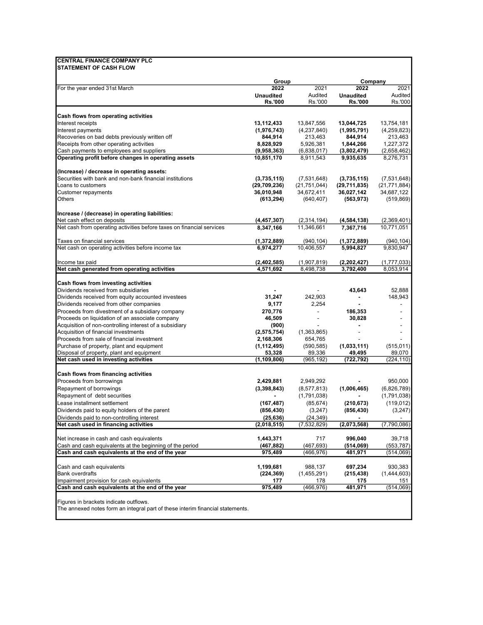|                                                                                                              | Group                    |                          |                          | Company                 |
|--------------------------------------------------------------------------------------------------------------|--------------------------|--------------------------|--------------------------|-------------------------|
| For the year ended 31st March                                                                                | 2022<br><b>Unaudited</b> | 2021<br>Audited          | 2022<br><b>Unaudited</b> | 2021<br>Audited         |
|                                                                                                              | <b>Rs.'000</b>           | Rs.'000                  | <b>Rs.'000</b>           | Rs.'000                 |
| Cash flows from operating activities                                                                         |                          |                          |                          |                         |
| Interest receipts                                                                                            | 13,112,433               | 13,847,556               | 13,044,725               | 13,754,181              |
| Interest payments                                                                                            | (1,976,743)              | (4,237,840)              | (1,995,791)              | (4,259,823)             |
| Recoveries on bad debts previously written off                                                               | 844,914                  | 213,463                  | 844,914                  | 213,463                 |
| Receipts from other operating activities                                                                     | 8,828,929                | 5,926,381                | 1,844,266                | 1,227,372               |
| Cash payments to employees and suppliers                                                                     | (9,958,363)              | (6,838,017)              | (3,802,479)              | (2,658,462)             |
| Operating profit before changes in operating assets                                                          | 10,851,170               | 8,911,543                | 9,935,635                | 8,276,731               |
| (Increase) / decrease in operating assets:                                                                   |                          |                          |                          |                         |
| Securities with bank and non-bank financial institutions                                                     | (3,735,115)              | (7,531,648)              | (3,735,115)              | (7,531,648)             |
| Loans to customers                                                                                           | (29,709,236)             | (21, 751, 044)           | (29,711,835)             | (21, 771, 884)          |
| Customer repayments                                                                                          | 36,010,948               | 34,672,411               | 36,027,142               | 34,687,122              |
| Others                                                                                                       | (613,294)                | (640, 407)               | (563, 973)               | (519, 869)              |
| Increase / (decrease) in operating liabilities:                                                              |                          |                          |                          |                         |
| Net cash effect on deposits                                                                                  | (4,457,307)              | (2,314,194)              | (4, 584, 138)            | (2,369,401)             |
| Net cash from operating activities before taxes on financial services                                        | 8,347,166                | 11,346,661               | 7,367,716                | 10,771,051              |
| Taxes on financial services                                                                                  | (1,372,889)              | (940, 104)               | (1,372,889)              | (940, 104)              |
| Net cash on operating activities before income tax                                                           | 6,974,277                | 10,406,557               | 5,994,827                | 9,830,947               |
| Income tax paid                                                                                              | (2, 402, 585)            | (1,907,819)              | (2,202,427)              | (1,777,033)             |
| Net cash generated from operating activities                                                                 | 4,571,692                | 8,498,738                | 3,792,400                | 8,053,914               |
| Cash flows from investing activities                                                                         |                          |                          |                          |                         |
| Dividends received from subsidiaries                                                                         |                          |                          | 43,643                   | 52,888                  |
| Dividends received from equity accounted investees                                                           | 31,247                   | 242,903                  |                          | 148,943                 |
| Dividends received from other companies                                                                      | 9,177                    | 2,254                    |                          |                         |
| Proceeds from divestment of a subsidiary company                                                             | 270,776                  | $\overline{\phantom{a}}$ | 186,353                  |                         |
| Proceeds on liquidation of an associate company                                                              | 46,509                   |                          | 30,828                   |                         |
| Acquisition of non-controlling interest of a subsidiary                                                      | (900)                    |                          |                          |                         |
| Acquisition of financial investments                                                                         | (2,575,754)              | (1,363,865)              |                          |                         |
| Proceeds from sale of financial investment                                                                   | 2,168,306                | 654,765                  |                          |                         |
| Purchase of property, plant and equipment                                                                    | (1, 112, 495)            | (590, 585)               | (1,033,111)              | (515, 011)              |
| Disposal of property, plant and equipment<br>Net cash used in investing activities                           | 53,328                   | 89,336                   | 49,495                   | 89,070                  |
|                                                                                                              | (1,109,806)              | (965, 192)               | (722,792)                | (224, 110)              |
| Cash flows from financing activities                                                                         |                          |                          |                          |                         |
| Proceeds from borrowings                                                                                     | 2,429,881                | 2,949,292                |                          | 950,000                 |
| Repayment of borrowings                                                                                      | (3,398,843)              | (8, 577, 813)            | (1,006,465)              | (6,826,789)             |
| Repayment of debt securities                                                                                 |                          | (1,791,038)              |                          | (1,791,038)             |
| Lease installment settlement                                                                                 | (167, 487)               | (85, 674)                | (210, 673)               | (119, 012)              |
| Dividends paid to equity holders of the parent                                                               | (856, 430)               | (3,247)                  | (856, 430)               | (3, 247)                |
| Dividends paid to non-controlling interest<br>Net cash used in financing activities                          | (25, 636)<br>(2,018,515) | (24, 349)<br>(7,532,829) | (2,073,568)              | (7,790,086)             |
|                                                                                                              |                          |                          |                          |                         |
| Net increase in cash and cash equivalents                                                                    | 1,443,371                | 717                      | 996,040                  | 39,718                  |
| Cash and cash equivalents at the beginning of the period<br>Cash and cash equivalents at the end of the year | (467,882)<br>975,489     | (467, 693)<br>(466,976)  | (514, 069)<br>481,971    | (553, 787)<br>(514,069) |
|                                                                                                              |                          |                          |                          |                         |
| Cash and cash equivalents                                                                                    | 1,199,681                | 988,137                  | 697,234                  | 930,383                 |
|                                                                                                              |                          |                          |                          |                         |
| <b>Bank overdrafts</b><br>Impairment provision for cash equivalents                                          | (224, 369)<br>177        | (1,455,291)<br>178       | (215, 438)<br>175        | (1,444,603)<br>151      |

Figures in brackets indicate outflows.

The annexed notes form an integral part of these interim financial statements.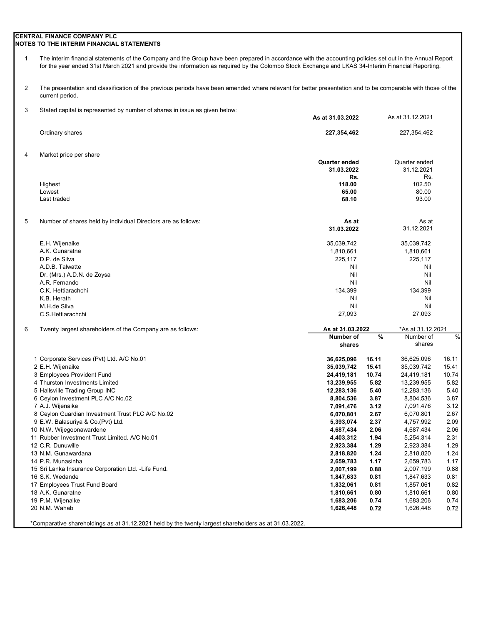### CENTRAL FINANCE COMPANY PLC NOTES TO THE INTERIM FINANCIAL STATEMENTS

1 The interim financial statements of the Company and the Group have been prepared in accordance with the accounting policies set out in the Annual Report for the year ended 31st March 2021 and provide the information as required by the Colombo Stock Exchange and LKAS 34-Interim Financial Reporting.

2 The presentation and classification of the previous periods have been amended where relevant for better presentation and to be comparable with those of the current period.

3 Stated capital is represented by number of shares in issue as given below:

|   |                                                               | As at 31.03.2022       |              | As at 31.12.2021       |              |
|---|---------------------------------------------------------------|------------------------|--------------|------------------------|--------------|
|   | Ordinary shares                                               | 227,354,462            |              | 227,354,462            |              |
| 4 | Market price per share                                        |                        |              |                        |              |
|   |                                                               | Quarter ended          |              | Quarter ended          |              |
|   |                                                               | 31.03.2022<br>Rs.      |              | 31.12.2021<br>Rs.      |              |
|   | Highest                                                       | 118.00                 |              | 102.50                 |              |
|   | Lowest                                                        | 65.00                  |              | 80.00                  |              |
|   | Last traded                                                   | 68.10                  |              | 93.00                  |              |
| 5 | Number of shares held by individual Directors are as follows: | As at                  |              | As at                  |              |
|   |                                                               | 31.03.2022             |              | 31.12.2021             |              |
|   | E.H. Wijenaike                                                | 35,039,742             |              | 35,039,742             |              |
|   | A.K. Gunaratne                                                | 1,810,661              |              | 1,810,661              |              |
|   | D.P. de Silva                                                 | 225,117                |              | 225,117                |              |
|   | A.D.B. Talwatte                                               | Nil                    |              | Nil                    |              |
|   | Dr. (Mrs.) A.D.N. de Zoysa                                    | Nil                    |              | Nil                    |              |
|   | A.R. Fernando                                                 | Nil                    |              | Nil                    |              |
|   | C.K. Hettiarachchi                                            | 134,399                |              | 134,399                |              |
|   | K.B. Herath                                                   | Nil                    |              | Nil                    |              |
|   | M.H.de Silva                                                  | Nil                    |              | Nil                    |              |
|   | C.S.Hettiarachchi                                             | 27,093                 |              | 27,093                 |              |
| 6 | Twenty largest shareholders of the Company are as follows:    | As at 31.03.2022       |              | *As at 31.12.2021      |              |
|   |                                                               | Number of              | $\%$         | Number of<br>shares    | $\%$         |
|   |                                                               | shares                 |              |                        |              |
|   | 1 Corporate Services (Pvt) Ltd. A/C No.01                     | 36,625,096             | 16.11        | 36,625,096             | 16.11        |
|   | 2 E.H. Wijenaike                                              | 35,039,742             | 15.41        | 35,039,742             | 15.41        |
|   | 3 Employees Provident Fund                                    | 24,419,181             | 10.74        | 24,419,181             | 10.74        |
|   | 4 Thurston Investments Limited                                | 13,239,955             | 5.82         | 13,239,955             | 5.82         |
|   | 5 Hallsville Trading Group INC                                | 12,283,136             | 5.40         | 12,283,136             | 5.40<br>3.87 |
|   | 6 Ceylon Investment PLC A/C No.02<br>7 A.J. Wijenaike         | 8,804,536<br>7,091,476 | 3.87<br>3.12 | 8,804,536<br>7,091,476 | 3.12         |
|   | 8 Ceylon Guardian Investment Trust PLC A/C No.02              | 6,070,801              | 2.67         | 6,070,801              | 2.67         |
|   | 9 E.W. Balasuriya & Co. (Pvt) Ltd.                            | 5,393,074              | 2.37         | 4,757,992              | 2.09         |
|   | 10 N.W. Wijegoonawardene                                      | 4,687,434              | 2.06         | 4,687,434              | 2.06         |
|   | 11 Rubber Investment Trust Limited. A/C No.01                 | 4,403,312              | 1.94         | 5,254,314              | 2.31         |
|   | 12 C.R. Dunuwille                                             | 2,923,384              | 1.29         | 2,923,384              | 1.29         |
|   | 13 N.M. Gunawardana                                           | 2,818,820              | 1.24         | 2,818,820              | 1.24         |
|   | 14 P.R. Munasinha                                             | 2,659,783              | 1.17         | 2,659,783              | 1.17         |
|   | 15 Sri Lanka Insurance Corporation Ltd. - Life Fund.          | 2,007,199              | 0.88         | 2,007,199              | 0.88         |
|   | 16 S.K. Wedande                                               | 1,847,633              | 0.81         | 1,847,633              | 0.81         |
|   | 17 Employees Trust Fund Board                                 | 1,832,061              | 0.81         | 1,857,061              | 0.82         |
|   | 18 A.K. Gunaratne                                             | 1,810,661              | 0.80         | 1,810,661              | 0.80         |
|   |                                                               |                        |              |                        |              |
|   | 19 P.M. Wijenaike                                             | 1,683,206              | 0.74         | 1,683,206              | 0.74         |
|   | 20 N.M. Wahab                                                 | 1,626,448              | 0.72         | 1,626,448              | 0.72         |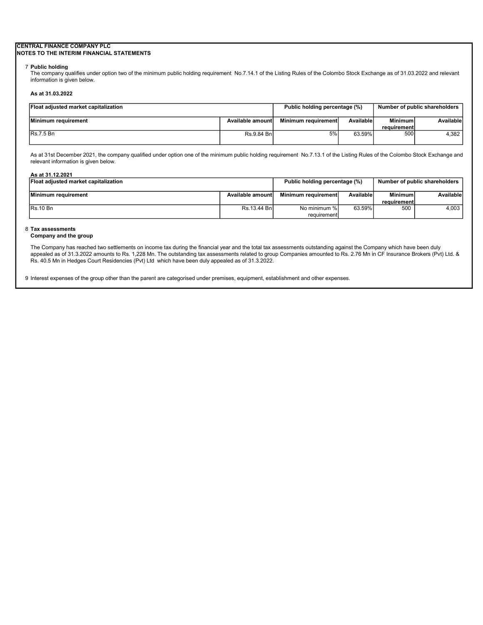#### CENTRAL FINANCE COMPANY PLC NOTES TO THE INTERIM FINANCIAL STATEMENTS

#### 7 Public holding

The company qualifies under option two of the minimum public holding requirement No.7.14.1 of the Listing Rules of the Colombo Stock Exchange as of 31.03.2022 and relevant information is given below.

#### As at 31.03.2022

| <b>Float adjusted market capitalization</b> | Number of public shareholders<br>Public holding percentage (%) |                     |           |                |           |
|---------------------------------------------|----------------------------------------------------------------|---------------------|-----------|----------------|-----------|
| Minimum requirement                         | Available amount                                               | Minimum requirement | Available | <b>Minimum</b> | Available |
|                                             |                                                                |                     |           | requirementl   |           |
| <b>IRs.7.5 Bn</b>                           | Rs.9.84 Bnl                                                    | 5%                  | 63.59%    | 500            | 4.382 l   |
|                                             |                                                                |                     |           |                |           |

As at 31st December 2021, the company qualified under option one of the minimum public holding requirement No.7.13.1 of the Listing Rules of the Colombo Stock Exchange and relevant information is given below.

| As at 31.12.2021                     |                               |                     |                               |                |           |
|--------------------------------------|-------------------------------|---------------------|-------------------------------|----------------|-----------|
| Float adjusted market capitalization | Public holding percentage (%) |                     | Number of public shareholders |                |           |
|                                      |                               |                     |                               |                |           |
| Minimum requirement                  | Available amount              | Minimum requirement | Available                     | <b>Minimum</b> | Available |
|                                      |                               |                     |                               | requirement    |           |
| IRs.10 Bn                            | Rs.13.44 Bnl                  | No minimum %        | 63.59%                        | 500            | 4.003     |
|                                      |                               | requirement         |                               |                |           |

### 8 Tax assessments

#### Company and the group

The Company has reached two settlements on income tax during the financial year and the total tax assessments outstanding against the Company which have been duly appealed as of 31.3.2022 amounts to Rs. 1,228 Mn. The outstanding tax assessments related to group Companies amounted to Rs. 2.76 Mn in CF Insurance Brokers (Pvt) Ltd. & Rs. 40.5 Mn in Hedges Court Residencies (Pvt) Ltd which have been duly appealed as of 31.3.2022.

9 Interest expenses of the group other than the parent are categorised under premises, equipment, establishment and other expenses.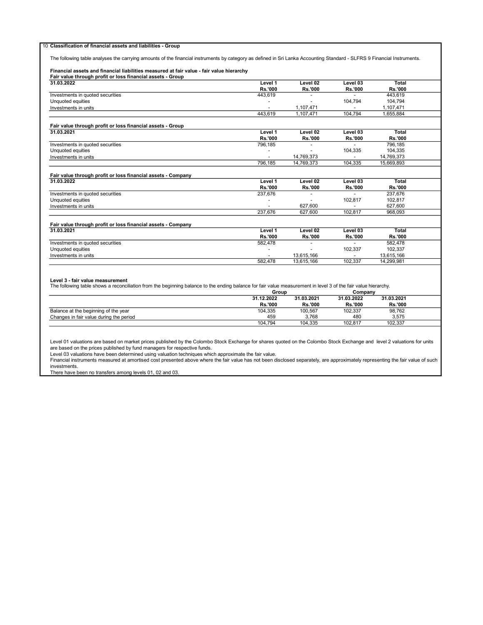#### 10 Classification of financial assets and liabilities - Group

The following table analyses the carrying amounts of the financial instruments by category as defined in Sri Lanka Accounting Standard - SLFRS 9 Financial Instruments.

### Financial assets and financial liabilities measured at fair value - fair value hierarchy

| Fair value through profit or loss financial assets - Group   |                |                |                |                |  |
|--------------------------------------------------------------|----------------|----------------|----------------|----------------|--|
| 31.03.2022                                                   | Level 1        | Level 02       | Level 03       | <b>Total</b>   |  |
|                                                              | <b>Rs.'000</b> | <b>Rs.'000</b> | <b>Rs.'000</b> | <b>Rs.'000</b> |  |
| Investments in quoted securities                             | 443.619        |                |                | 443.619        |  |
| Unquoted equities                                            |                |                | 104.794        | 104,794        |  |
| Investments in units                                         |                | 1,107,471      |                | 1,107,471      |  |
|                                                              | 443.619        | 1.107.471      | 104.794        | 1,655,884      |  |
| Fair value through profit or loss financial assets - Group   |                |                |                |                |  |
| 31.03.2021                                                   | Level 1        | Level 02       | Level 03       | Total          |  |
|                                                              | <b>Rs.'000</b> | <b>Rs.'000</b> | <b>Rs.'000</b> | <b>Rs.'000</b> |  |
| Investments in quoted securities                             | 796,185        |                |                | 796,185        |  |
| Unquoted equities                                            |                |                | 104.335        | 104.335        |  |
| Investments in units                                         | ٠              | 14.769.373     |                | 14,769,373     |  |
|                                                              | 796,185        | 14,769,373     | 104,335        | 15,669,893     |  |
| Fair value through profit or loss financial assets - Company |                |                |                |                |  |
| 31.03.2022                                                   | Level 1        | Level 02       | Level 03       | Total          |  |
|                                                              | <b>Rs.'000</b> | <b>Rs.'000</b> | <b>Rs.'000</b> | <b>Rs.'000</b> |  |
| Investments in quoted securities                             | 237,676        |                |                | 237,676        |  |
| Unquoted equities                                            |                |                | 102,817        | 102.817        |  |
| Investments in units                                         |                | 627.600        |                | 627.600        |  |
|                                                              | 237.676        | 627.600        | 102.817        | 968.093        |  |
| Fair value through profit or loss financial assets - Company |                |                |                |                |  |
| 31.03.2021                                                   | Level 1        | Level 02       | Level 03       | <b>Total</b>   |  |
|                                                              | <b>Rs.'000</b> | <b>Rs.'000</b> | <b>Rs.'000</b> | <b>Rs.'000</b> |  |
| Investments in quoted securities                             | 582,478        |                |                | 582,478        |  |
| Unquoted equities                                            |                |                | 102,337        | 102,337        |  |
| Investments in units                                         |                | 13,615,166     |                | 13,615,166     |  |
|                                                              | 582.478        | 13.615.166     | 102.337        | 14.299.981     |  |

**Level 3 - fair value measurement**<br>The following table shows a reconciliation from the beginning balance to the ending balance for fair value measurement in level 3 of the fair value hierarchy.

|                                         |  | Group          |                | Company        |                |  |
|-----------------------------------------|--|----------------|----------------|----------------|----------------|--|
|                                         |  | 31.12.2022     | 31.03.2021     | 31.03.2022     | 31.03.2021     |  |
|                                         |  | <b>Rs.'000</b> | <b>Rs.'000</b> | <b>Rs.'000</b> | <b>Rs.'000</b> |  |
| Balance at the beginning of the year    |  | 104,335        | 100,567        | 102.337        | 98,762         |  |
| Changes in fair value during the period |  | 459            | 3.768          | 480            | 3.575          |  |
|                                         |  | 104.794        | 104.335        | 102.817        | 102.337        |  |

Level 01 valuations are based on market prices published by the Colombo Stock Exchange for shares quoted on the Colombo Stock Exchange and level 2 valuations for units are based on the prices published by fund managers for respective funds.

Level 03 valuations have been determined using valuation techniques which approximate the fair value.

Financial instruments measured at amortised cost presented above where the fair value has not been disclosed separately, are approximately representing the fair value of such investments.

There have been no transfers among levels 01, 02 and 03.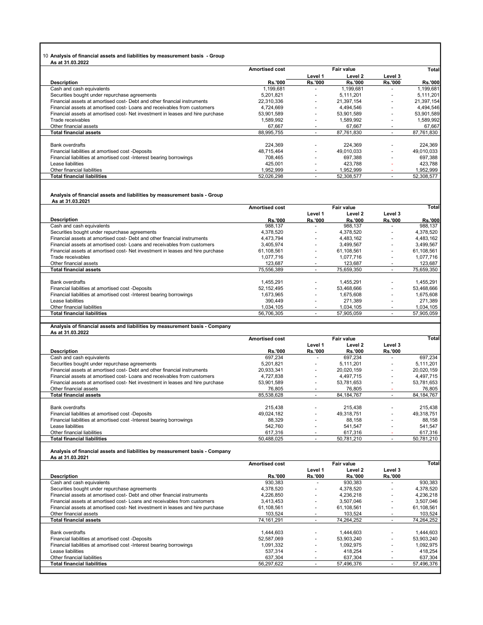### 10 Analysis of financial assets and liabilities by measurement basis - Group

| As at 31.03.2022                                                              |                       |                          |                |                          |                |
|-------------------------------------------------------------------------------|-----------------------|--------------------------|----------------|--------------------------|----------------|
|                                                                               | <b>Amortised cost</b> |                          | Fair value     |                          | Total          |
|                                                                               |                       | Level 1                  | Level 2        | Level 3                  |                |
| <b>Description</b>                                                            | <b>Rs.'000</b>        | <b>Rs.'000</b>           | <b>Rs.'000</b> | <b>Rs.'000</b>           | <b>Rs.'000</b> |
| Cash and cash equivalents                                                     | 1,199,681             |                          | 1,199,681      |                          | 1,199,681      |
| Securities bought under repurchase agreements                                 | 5,201,821             |                          | 5.111.201      |                          | 5,111,201      |
| Financial assets at amortised cost- Debt and other financial instruments      | 22,310,336            | $\overline{\phantom{a}}$ | 21,397,154     |                          | 21,397,154     |
| Financial assets at amortised cost-Loans and receivables from customers       | 4.724.669             |                          | 4.494.546      |                          | 4,494,546      |
| Financial assets at amortised cost-Net investment in leases and hire purchase | 53,901,589            | $\overline{a}$           | 53,901,589     | $\overline{\phantom{a}}$ | 53,901,589     |
| Trade receivables                                                             | 1,589,992             | $\overline{a}$           | 1,589,992      |                          | 1,589,992      |
| Other financial assets                                                        | 67.667                | $\overline{a}$           | 67.667         |                          | 67,667         |
| <b>Total financial assets</b>                                                 | 88,995,755            | $\overline{a}$           | 87,761,830     | $\overline{\phantom{a}}$ | 87,761,830     |
|                                                                               |                       |                          |                |                          |                |
| <b>Bank overdrafts</b>                                                        | 224,369               | $\overline{\phantom{a}}$ | 224.369        |                          | 224,369        |
| Financial liabilities at amortised cost -Deposits                             | 48.715.464            | $\overline{\phantom{a}}$ | 49.010.033     |                          | 49,010,033     |
| Financial liabilities at amortised cost - Interest bearing borrowings         | 708.465               | $\overline{a}$           | 697.388        |                          | 697.388        |
| Lease liabilities                                                             | 425.001               |                          | 423.788        |                          | 423,788        |
| Other financial liabilities                                                   | 1,952,999             | $\overline{a}$           | 1,952,999      |                          | 1,952,999      |
| <b>Total financial liabilities</b>                                            | 52.026.298            | $\overline{a}$           | 52.308.577     |                          | 52,308,577     |

# Analysis of financial assets and liabilities by measurement basis - Group As at 31.03.2021

|                                                                               | <b>Amortised cost</b> |                          | <b>Fair value</b> |                          | Total          |
|-------------------------------------------------------------------------------|-----------------------|--------------------------|-------------------|--------------------------|----------------|
|                                                                               |                       | Level 1                  | Level 2           | Level 3                  |                |
| <b>Description</b>                                                            | <b>Rs.'000</b>        | <b>Rs.'000</b>           | <b>Rs.'000</b>    | <b>Rs.'000</b>           | <b>Rs.'000</b> |
| Cash and cash equivalents                                                     | 988,137               |                          | 988,137           |                          | 988,137        |
| Securities bought under repurchase agreements                                 | 4.378.520             | $\overline{\phantom{a}}$ | 4,378,520         | $\overline{\phantom{a}}$ | 4,378,520      |
| Financial assets at amortised cost- Debt and other financial instruments      | 4.473.794             | $\overline{\phantom{a}}$ | 4,483,162         | $\overline{\phantom{a}}$ | 4,483,162      |
| Financial assets at amortised cost-Loans and receivables from customers       | 3.405.974             | ٠                        | 3,499,567         |                          | 3,499,567      |
| Financial assets at amortised cost-Net investment in leases and hire purchase | 61,108,561            | $\overline{\phantom{0}}$ | 61,108,561        |                          | 61,108,561     |
| Trade receivables                                                             | 1.077.716             |                          | 1.077.716         |                          | 1,077,716      |
| Other financial assets                                                        | 123,687               |                          | 123,687           |                          | 123,687        |
| <b>Total financial assets</b>                                                 | 75,556,389            |                          | 75,659,350        |                          | 75,659,350     |
|                                                                               |                       |                          |                   |                          |                |
| Bank overdrafts                                                               | 1.455.291             | ٠                        | 1.455.291         | $\overline{\phantom{a}}$ | 1,455,291      |
| Financial liabilities at amortised cost -Deposits                             | 52,152,495            | $\overline{a}$           | 53,468,666        | $\overline{\phantom{a}}$ | 53,468,666     |
| Financial liabilities at amortised cost - Interest bearing borrowings         | 1.673.965             |                          | 1.675.608         |                          | 1.675.608      |
| Lease liabilities                                                             | 390.449               |                          | 271.389           |                          | 271.389        |
| Other financial liabilities                                                   | 1.034.105             | $\overline{a}$           | 1.034.105         |                          | 1,034,105      |
| <b>Total financial liabilities</b>                                            | 56,706,305            |                          | 57,905,059        |                          | 57,905,059     |

# Analysis of financial assets and liabilities by measurement basis - Company As at 31.03.2022

| 53 GL V 1.VV.LVLL                                                              |                       |                          |                |                          |              |  |
|--------------------------------------------------------------------------------|-----------------------|--------------------------|----------------|--------------------------|--------------|--|
|                                                                                | <b>Amortised cost</b> | <b>Fair value</b>        |                |                          | <b>Total</b> |  |
|                                                                                |                       | Level 1                  | Level 2        | Level 3                  |              |  |
| <b>Description</b>                                                             | <b>Rs.'000</b>        | <b>Rs.'000</b>           | <b>Rs.'000</b> | <b>Rs.'000</b>           |              |  |
| Cash and cash equivalents                                                      | 697.234               |                          | 697.234        |                          | 697,234      |  |
| Securities bought under repurchase agreements                                  | 5.201.821             | $\overline{\phantom{a}}$ | 5,111,201      |                          | 5,111,201    |  |
| Financial assets at amortised cost- Debt and other financial instruments       | 20.933.341            | $\overline{a}$           | 20.020.159     | $\overline{\phantom{0}}$ | 20.020.159   |  |
| Financial assets at amortised cost-Loans and receivables from customers        | 4.727.838             | $\overline{a}$           | 4.497.715      |                          | 4,497,715    |  |
| Financial assets at amortised cost- Net investment in leases and hire purchase | 53,901,589            | $\overline{\phantom{a}}$ | 53.781.653     |                          | 53,781,653   |  |
| Other financial assets                                                         | 76.805                |                          | 76.805         |                          | 76,805       |  |
| <b>Total financial assets</b>                                                  | 85,538,628            |                          | 84, 184, 767   |                          | 84, 184, 767 |  |
|                                                                                |                       |                          |                |                          |              |  |
| <b>Bank overdrafts</b>                                                         | 215.438               | $\overline{a}$           | 215.438        |                          | 215,438      |  |
| Financial liabilities at amortised cost -Deposits                              | 49,024,182            | $\overline{a}$           | 49.318.751     |                          | 49,318,751   |  |
| Financial liabilities at amortised cost - Interest bearing borrowings          | 88,329                |                          | 88.158         |                          | 88,158       |  |
| Lease liabilities                                                              | 542.760               |                          | 541.547        |                          | 541,547      |  |
| Other financial liabilities                                                    | 617.316               | $\overline{\phantom{a}}$ | 617.316        |                          | 617,316      |  |
| <b>Total financial liabilities</b>                                             | 50.488.025            |                          | 50.781.210     |                          | 50.781.210   |  |

# Analysis of financial assets and liabilities by measurement basis - Company As at 31.03.2021

| .                                                                             |                       |                          |                |                |            |  |
|-------------------------------------------------------------------------------|-----------------------|--------------------------|----------------|----------------|------------|--|
|                                                                               | <b>Amortised cost</b> |                          | Fair value     |                | Total      |  |
|                                                                               |                       | Level 1                  | Level 2        | Level 3        |            |  |
| <b>Description</b>                                                            | <b>Rs.'000</b>        | <b>Rs.'000</b>           | <b>Rs.'000</b> | <b>Rs.'000</b> |            |  |
| Cash and cash equivalents                                                     | 930,383               |                          | 930.383        |                | 930,383    |  |
| Securities bought under repurchase agreements                                 | 4,378,520             | $\overline{\phantom{0}}$ | 4.378.520      |                | 4,378,520  |  |
| Financial assets at amortised cost-Debt and other financial instruments       | 4,226,850             | ٠                        | 4,236,218      |                | 4,236,218  |  |
| Financial assets at amortised cost-Loans and receivables from customers       | 3.413.453             | $\overline{\phantom{a}}$ | 3.507.046      |                | 3.507.046  |  |
| Financial assets at amortised cost-Net investment in leases and hire purchase | 61.108.561            | ۰                        | 61.108.561     |                | 61.108.561 |  |
| Other financial assets                                                        | 103,524               | $\overline{\phantom{0}}$ | 103.524        |                | 103,524    |  |
| <b>Total financial assets</b>                                                 | 74, 161, 291          | $\overline{\phantom{0}}$ | 74,264,252     |                | 74,264,252 |  |
|                                                                               |                       |                          |                |                |            |  |
| <b>Bank overdrafts</b>                                                        | 1.444.603             | $\sim$                   | 1.444.603      |                | 1.444.603  |  |
| Financial liabilities at amortised cost -Deposits                             | 52.587.069            | $\overline{\phantom{a}}$ | 53.903.240     |                | 53.903.240 |  |
| Financial liabilities at amortised cost - Interest bearing borrowings         | 1,091,332             | $\overline{\phantom{0}}$ | 1.092.975      |                | 1,092,975  |  |
| Lease liabilities                                                             | 537,314               | ۰.                       | 418.254        |                | 418,254    |  |
| Other financial liabilities                                                   | 637.304               | $\overline{\phantom{0}}$ | 637.304        |                | 637,304    |  |
| <b>Total financial liabilities</b>                                            | 56,297,622            |                          | 57,496,376     |                | 57.496.376 |  |
|                                                                               |                       |                          |                |                |            |  |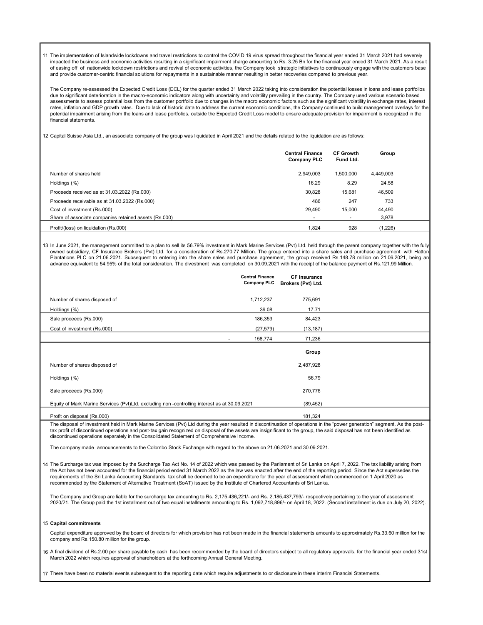11 The implementation of Islandwide lockdowns and travel restrictions to control the COVID 19 virus spread throughout the financial year ended 31 March 2021 had severely impacted the business and economic activities resulting in a significant impairment charge amounting to Rs. 3.25 Bn for the financial year ended 31 March 2021. As a result of easing off of nationwide lockdown restrictions and revival of economic activities, the Company took strategic initiatives to continuously engage with the customers base and provide customer-centric financial solutions for repayments in a sustainable manner resulting in better recoveries compared to previous year.

The Company re-assessed the Expected Credit Loss (ECL) for the quarter ended 31 March 2022 taking into consideration the potential losses in loans and lease portfolios due to significant deterioration in the macro-economic indicators along with uncertainty and volatility prevailing in the country. The Company used various scenario based assessments to assess potential loss from the customer portfolio due to changes in the macro economic factors such as the significant volatility in exchange rates, interest rates, inflation and GDP growth rates. Due to lack of historic data to address the current economic conditions, the Company continued to build management overlays for the potential impairment arising from the loans and lease portfolios, outside the Expected Credit Loss model to ensure adequate provision for impairment is recognized in the financial statements.

12 Capital Suisse Asia Ltd., an associate company of the group was liquidated in April 2021 and the details related to the liquidation are as follows:

|                                                       | <b>Central Finance</b><br><b>Company PLC</b> | <b>CF Growth</b><br>Fund Ltd. | Group     |
|-------------------------------------------------------|----------------------------------------------|-------------------------------|-----------|
| Number of shares held                                 | 2.949.003                                    | 1,500,000                     | 4,449,003 |
| Holdings (%)                                          | 16.29                                        | 8.29                          | 24.58     |
| Proceeds received as at 31.03.2022 (Rs.000)           | 30.828                                       | 15.681                        | 46,509    |
| Proceeds receivable as at 31.03.2022 (Rs.000)         | 486                                          | 247                           | 733       |
| Cost of investment (Rs.000)                           | 29.490                                       | 15.000                        | 44,490    |
| Share of associate companies retained assets (Rs.000) |                                              | $\overline{\phantom{a}}$      | 3,978     |
| Profit/(loss) on liquidation (Rs.000)                 | 1.824                                        | 928                           | (1,226)   |

13 In June 2021, the management committed to a plan to sell its 56.79% investment in Mark Marine Services (Pvt) Ltd. held through the parent company together with the fully owned subsidiary, CF Insurance Brokers (Pvt) Ltd. for a consideration of Rs.270.77 Million. The group entered into a share sales and purchase agreement with Hattor Plantations PLC on 21.06.2021. Subsequent to entering into the share sales and purchase agreement, the group received Rs.148.78 million on 21.06.2021, being an advance equivalent to 54.95% of the total consideration. The divestment was completed on 30.09.2021 with the receipt of the balance payment of Rs.121.99 Million.

|              |                                                                                               | <b>Central Finance</b><br><b>Company PLC</b> | <b>CF Insurance</b><br>Brokers (Pvt) Ltd. |  |
|--------------|-----------------------------------------------------------------------------------------------|----------------------------------------------|-------------------------------------------|--|
|              | Number of shares disposed of                                                                  | 1,712,237                                    | 775,691                                   |  |
| Holdings (%) |                                                                                               | 39.08                                        | 17.71                                     |  |
|              | Sale proceeds (Rs.000)                                                                        | 186,353                                      | 84,423                                    |  |
|              | Cost of investment (Rs.000)                                                                   | (27, 579)                                    | (13, 187)                                 |  |
|              |                                                                                               | 158,774<br>$\overline{\phantom{a}}$          | 71,236                                    |  |
|              |                                                                                               |                                              | Group                                     |  |
|              | Number of shares disposed of                                                                  |                                              | 2,487,928                                 |  |
| Holdings (%) |                                                                                               |                                              | 56.79                                     |  |
|              | Sale proceeds (Rs.000)                                                                        |                                              | 270,776                                   |  |
|              | Equity of Mark Marine Services (Pvt)Ltd. excluding non -controlling interest as at 30.09.2021 |                                              | (89, 452)                                 |  |
|              | Profit on disposal (Rs.000)                                                                   |                                              | 181,324                                   |  |

The disposal of investment held in Mark Marine Services (Pvt) Ltd during the year resulted in discontinuation of operations in the "power generation" segment. As the posttax profit of discontinued operations and post-tax gain recognized on disposal of the assets are insignificant to the group, the said disposal has not been identified as discontinued operations separately in the Consolidated Statement of Comprehensive Income.

The company made announcements to the Colombo Stock Exchange with regard to the above on 21.06.2021 and 30.09.2021.

14 The Surcharge tax was imposed by the Surcharge Tax Act No. 14 of 2022 which was passed by the Parliament of Sri Lanka on April 7, 2022. The tax liability arising from the Act has not been accounted for the financial period ended 31 March 2022 as the law was enacted after the end of the reporting period. Since the Act supersedes the requirements of the Sri Lanka Accounting Standards, tax shall be deemed to be an expenditure for the year of assessment which commenced on 1 April 2020 as recommended by the Statement of Alternative Treatment (SoAT) issued by the Institute of Chartered Accountants of Sri Lanka.

The Company and Group are liable for the surcharge tax amounting to Rs. 2,175,436,221/- and Rs. 2,185,437,793/- respectively pertaining to the year of assessment 2020/21. The Group paid the 1st installment out of two equal installments amounting to Rs. 1,092,718,896/- on April 18, 2022. (Second installment is due on July 20, 2022).

#### 15 Capital commitments

Capital expenditure approved by the board of directors for which provision has not been made in the financial statements amounts to approximately Rs.33.60 million for the company and Rs.150.80 million for the group.

16 A final dividend of Rs.2.00 per share payable by cash has been recommended by the board of directors subject to all regulatory approvals, for the financial year ended 31st March 2022 which requires approval of shareholders at the forthcoming Annual General Meeting.

17 There have been no material events subsequent to the reporting date which require adjustments to or disclosure in these interim Financial Statements.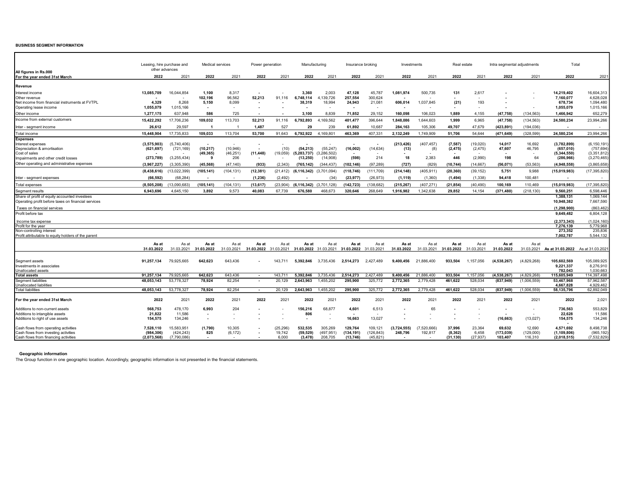#### BUSINESS SEGMENT INFORMATION

| All figures in Rs.000                                                                                | other advances            | Leasing, hire purchase and | Medical services                      |                    | Power generation         |                     | Manufacturing                   |                           | Insurance broking     |                       | Investments            |                          | Real estate          |                      | Intra segmental adjustments |                     | Total                             |                             |
|------------------------------------------------------------------------------------------------------|---------------------------|----------------------------|---------------------------------------|--------------------|--------------------------|---------------------|---------------------------------|---------------------------|-----------------------|-----------------------|------------------------|--------------------------|----------------------|----------------------|-----------------------------|---------------------|-----------------------------------|-----------------------------|
| For the year ended 31st March                                                                        | 2022                      | 2021                       | 2022                                  | 2021               | 2022                     | 2021                | 2022                            | 2021                      | 2022                  | 2021                  | 2022                   | 2021                     | 2022                 | 2021                 | 2022                        | 2021                | 2022                              | 2021                        |
| Revenue                                                                                              |                           |                            |                                       |                    |                          |                     |                                 |                           |                       |                       |                        |                          |                      |                      |                             |                     |                                   |                             |
| Interest income                                                                                      | 13,085,709                | 16,044,854                 | 1,100                                 | 8,317              |                          |                     | 3.360                           | 2.003                     | 47,128                | 45,787                | 1,081,974              | 500,735                  | 131                  | 2,617                |                             |                     | 14,219,402                        | 16,604,313                  |
| Other revenue                                                                                        |                           |                            | 102,196                               | 96,562             | 52,213                   | 91,116              | 6,748,114                       | 139,726<br>$\overline{4}$ | 257,554               | 300,624               |                        |                          |                      |                      |                             |                     | 7,160,077                         | 4,628,028                   |
| Net income from financial instruments at FVTPL<br>Operating lease income                             | 4,329<br>1,055,079        | 8,268<br>1,015,166         | 5,150<br>$\sim$                       | 8,099              |                          |                     | 38,319                          | 18,994                    | 24,943<br>. .         | 21,081                | 606,014                | 1,037,845                | (21)                 | 193                  |                             |                     | 678,734<br>1,055,079              | 1,094,480<br>1,015,166      |
|                                                                                                      |                           |                            |                                       |                    |                          |                     |                                 |                           |                       |                       |                        |                          |                      |                      |                             |                     |                                   |                             |
| Other income                                                                                         | 1,277,175                 | 637.948                    | 586                                   | 725                |                          |                     | 3.100                           | 8.839                     | 71.852                | 29,152                | 160,098                | 106,023                  | 1.889                | 4,155                | (47, 758)                   | (134, 563)          | 1,466,942                         | 652,279                     |
| Income from external customers                                                                       | 15,422,292                | 17,706,236                 | 109,032                               | 113,703            | 52,213                   | 91,116              | 6,792,893                       | 169,562<br>4              | 401,477               | 396,644               | 1,848,086              | 1,644,603                | 1,999                | 6,965                | (47, 758)                   | (134, 563)          | 24,580,234                        | 23,994,266                  |
| Inter - segment income                                                                               | 26.612                    | 29.597                     | -1                                    |                    | 1.487                    | 527                 | 29                              | 239                       | 61.892                | 10.687                | 284.163                | 105,306                  | 49.707               | 47.679               | (423.891)                   | (194.036)           |                                   |                             |
| Total income                                                                                         | 15,448,904                | 17,735,833                 | 109.033                               | 113,704            | 53,700                   | 91.643              | 6.792.922                       | 4.169.801                 | 463.369               | 407,331               | 2,132,249              | 1.749.909                | 51.706               | 54,644               | (471, 649)                  | (328, 599)          | 24.580.234                        | 23.994.266                  |
| <b>Expenses</b>                                                                                      |                           |                            |                                       |                    |                          |                     |                                 |                           |                       |                       |                        |                          |                      |                      |                             |                     |                                   |                             |
| Interest expenses<br>Depreciation & amortisation                                                     | (3,575,903)<br>(621, 697) | (5,740,406)<br>(721, 169)  | $\overline{\phantom{a}}$<br>(10, 217) | (10, 946)          | $\overline{\phantom{a}}$ | (10)                | (54, 213)                       | (55, 247)                 | (16,002)              | (14, 634)             | (213, 426)<br>(13)     | (407, 457)<br>(8)        | (7, 587)<br>(2, 475) | (19,020)<br>(2, 475) | 14,017<br>47,607            | 16,692<br>46,795    | (3,782,899)<br>(657,010)          | (6, 150, 191)<br>(757, 694) |
| Cost of sales                                                                                        |                           |                            | (49, 365)                             | (46, 251)          | (11, 448)                | (19,059)            | (5, 283, 737)                   | (3, 286, 502)             | $\blacksquare$        |                       |                        |                          |                      |                      |                             | $\sim$              | (5, 344, 550)                     | (3, 351, 812)               |
| Impairments and other credit losses                                                                  | (273, 789)                | (3,255,434)                | -9                                    | 206                |                          |                     | (13,250)                        | (14,908)                  | (598)                 | 214                   | 18                     | 2,383                    | 446                  | (2,990)              | 198                         | 64                  | (286, 966)                        | (3,270,465)                 |
| Other operating and administrative expenses                                                          | (3,967,227)               | (3,305,390)                | (45.568)                              | (47.140)           | (933)                    | (2.343)             | (765,142)                       | (344, 437)                | (102, 146)            | (97, 289)             | (727)                  | (829)                    | (10, 744)            | (14, 667)            | (56, 071)                   | (53, 563)           | (4,948,558)                       | (3,865,658)                 |
|                                                                                                      | (8,438,616)               | (13,022,399)               | (105, 141)                            | (104, 131)         | (12, 381)                | (21,412)            | $(6, 116, 342)$ $(3, 701, 094)$ |                           | (118, 746)            | (111, 709)            | (214, 148)             | (405, 911)               | (20, 360)            | (39, 152)            | 5,751                       | 9.988               | (15,019,983)                      | (17, 395, 820)              |
|                                                                                                      |                           |                            |                                       |                    |                          |                     |                                 |                           |                       |                       |                        |                          |                      |                      |                             |                     |                                   |                             |
| Inter - segment expenses                                                                             | (66.592)                  | (68, 284)                  |                                       |                    | (1, 236)                 | (2.492)             |                                 | (34)                      | (23, 977)             | (26, 973)             | (1, 119)               | (1,360)                  | (1, 494)             | (1, 338)             | 94,418                      | 100,481             |                                   |                             |
| Total expenses                                                                                       | (8,505,208)               | 13,090,683                 | (105, 141)                            | (104, 131)         | (13, 617)                | (23, 904)           | $(6, 116, 342)$ $(3, 701, 128)$ |                           | (142, 723)            | 138,682               | (215, 267)             | (407, 271)               | (21, 854)            | (40, 490)            | 100,169                     | 110,469             | (15,019,983)                      | (17, 395, 820)              |
| Segment results                                                                                      | 6,943,696                 | 4,645,150                  | 3,892                                 | 9,573              | 40,083                   | 67,739              | 676,580                         | 468,673                   | 320,646               | 268,649               | 1,916,982              | 1,342,638                | 29,852               | 14,154               | (371, 480)                  | (218, 130)          | 9,560,251                         | 6,598,446                   |
| Share of profit of equity accounted investees<br>Operating profit before taxes on financial services |                           |                            |                                       |                    |                          |                     |                                 |                           |                       |                       |                        |                          |                      |                      |                             |                     | 1.388.131<br>10,948,382           | 1.069.144<br>7,667,590      |
|                                                                                                      |                           |                            |                                       |                    |                          |                     |                                 |                           |                       |                       |                        |                          |                      |                      |                             |                     |                                   |                             |
| Taxes on financial services                                                                          |                           |                            |                                       |                    |                          |                     |                                 |                           |                       |                       |                        |                          |                      |                      |                             |                     | (1.298.900)                       | (863,462                    |
| Profit before tax                                                                                    |                           |                            |                                       |                    |                          |                     |                                 |                           |                       |                       |                        |                          |                      |                      |                             |                     | 9,649,482                         | 6,804,128                   |
| Income tax expense                                                                                   |                           |                            |                                       |                    |                          |                     |                                 |                           |                       |                       |                        |                          |                      |                      |                             |                     | (2,373,343)                       | (1.024.160)                 |
| Profit for the year                                                                                  |                           |                            |                                       |                    |                          |                     |                                 |                           |                       |                       |                        |                          |                      |                      |                             |                     | 7,276,139                         | 5,779,968                   |
| Non-controlling interest                                                                             |                           |                            |                                       |                    |                          |                     |                                 |                           |                       |                       |                        |                          |                      |                      |                             |                     | 273,352<br>7.002.787              | 235,836<br>5.544.132        |
| Profit attributable to equity holders of the parent                                                  |                           |                            |                                       |                    |                          |                     |                                 |                           |                       |                       |                        |                          |                      |                      |                             |                     |                                   |                             |
|                                                                                                      | As at                     | As at                      | As at                                 | As at              | As at                    | As at               | As at                           | As at                     | As at                 | As at                 | As at                  | As at                    | As at                | As at                | As at                       | As at               |                                   |                             |
|                                                                                                      | 31.03.2022                | 31.03.2021                 | 31.03.2022                            | 31.03.2021         | 31.03.2022 31.03.2021    |                     | 31.03.2022 31.03.2021           |                           | 31.03.2022 31.03.2021 |                       | 31.03.2022             | 31.03.2021               | 31.03.2022           | 31.03.2021           | 31.03.2022                  | 31.03.2021          | As at 31.03.2022 As at 31.03.2021 |                             |
|                                                                                                      |                           |                            |                                       |                    |                          |                     |                                 |                           |                       |                       |                        |                          |                      |                      |                             |                     |                                   |                             |
| Segment assets                                                                                       | 91.257.134                | 79,925,665                 | 642.623                               | 643.436            |                          | 143.711             | 5.392.846                       | 3.735.436                 | 2.514.273             | 2.427.489             | 9.400.456              | 21.886.400               | 933.504              | 1.157.056            | (4.538.267)                 | (4,829,268)         | 105,602,569                       | 105,089,925                 |
| Investments in associates                                                                            |                           |                            |                                       |                    |                          |                     |                                 |                           |                       |                       |                        |                          |                      |                      |                             |                     | 9.221.337                         | 8,276,910                   |
| Unallocated assets<br><b>Total assets</b>                                                            | 91.257.134                | 79.925.665                 | 642.623                               | 643.436            | $\sim$                   | 143.711             | 5.392.846                       | 3.735.436                 | 2.514.273             | 2.427.489             | 9.400.456              | 21.886.400               | 933.504              | 1.157.056            | (4.538.267)                 | (4.829.268)         | 782.043<br>115.605.949            | 1.030.663<br>114.397.498    |
| Segment liabilities                                                                                  | 48.053.143                | 53.778.327                 | 78.924                                | 82.254             | $\sim$                   | 20.129              | 2.643.963                       | 1.455.202                 | 295.900               | 325.772               | 2.772.365              | 2.779.428                | 461.622              | 528.034              | (837.949)                   | (1,006,559)         | 53.467.968                        | 57.962.587                  |
| Unallocated liabilities                                                                              |                           |                            |                                       |                    |                          |                     |                                 |                           |                       |                       |                        |                          |                      |                      |                             |                     | 4,667,828                         | 4.929.462                   |
| Total liabilities                                                                                    | 48.053.143                | 53.778.327                 | 78.924                                | 82.254             | $\sim$                   | 20.129              | 2.643.963                       | 1.455.202                 | 295.900               | 325.772               | 2,772,365              | 2.779.428                | 461.622              | 528.034              | (837, 949)                  | (1.006.559)         | 58,135,796                        | 62.892.049                  |
|                                                                                                      |                           |                            |                                       |                    |                          |                     |                                 |                           |                       |                       |                        |                          |                      |                      |                             |                     |                                   |                             |
| For the year ended 31st March                                                                        | 2022                      | 2021                       | 2022                                  | 2021               | 2022                     | 2021                | 2022                            | 2021                      | 2022                  | 2021                  | 2022                   | 2021                     | 2022                 | 2021                 | 2022                        | 2021                | 2022                              | 2,021                       |
| Additions to non-current assets                                                                      | 568.753                   | 478.170                    | 6.993                                 | 204                |                          |                     | 156.216                         | 68.877                    | 4,601                 | 6.513                 |                        | 65                       |                      |                      | $\sim$                      |                     | 736.563                           | 553.829                     |
| Additions to intangible assets                                                                       | 21,822                    | 11,586                     |                                       |                    |                          |                     | 806                             |                           |                       |                       |                        |                          |                      |                      |                             |                     | 22,628                            | 11,586                      |
| Additions to right of use assets                                                                     | 154,575                   | 134,246                    | $\overline{\phantom{a}}$              |                    |                          |                     |                                 |                           | 16,663                | 13,027                |                        |                          |                      |                      | (16, 663)                   | (13,027)            | 154,575                           | 134,246                     |
|                                                                                                      |                           |                            |                                       |                    |                          |                     |                                 |                           |                       |                       |                        |                          |                      |                      |                             |                     |                                   |                             |
| Cash flows from operating activities<br>Cash flows from investing activities                         | 7,528,110<br>(984, 306)   | 15,583,951<br>(424, 243)   | (1,790)<br>825                        | 10,305<br>(6, 172) |                          | (25, 296)<br>19,742 | 532,535<br>(59, 529)            | 305,269<br>(497, 951)     | 129,764<br>(134, 191) | 109,121<br>(126, 843) | (3,724,555)<br>248,796 | (7,520,666)<br>192,817   | 37,996<br>(8, 362)   | 23,364<br>6,458      | 69,632<br>(173, 039)        | 12,690<br>(129,000) | 4,571,692<br>(1, 109, 806)        | 8,498,738<br>(965,192       |
| Cash flows from financing activities                                                                 | (2,073,568)               | (7.790.086)                |                                       |                    |                          | 6.000               | (3, 478)                        | 208.705                   | (13, 746)             | (45, 821)             |                        | $\overline{\phantom{a}}$ | (31, 130)            | (27, 937)            | 103.407                     | 116,310             | (2,018,515)                       | (7,532,829)                 |
|                                                                                                      |                           |                            |                                       |                    |                          |                     |                                 |                           |                       |                       |                        |                          |                      |                      |                             |                     |                                   |                             |

#### Geographic information

The Group function in one geographic location. Accordingly, geographic information is not presented in the financial statements.